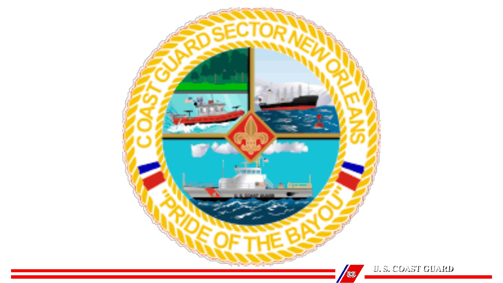

**U. S. COAST GUARD**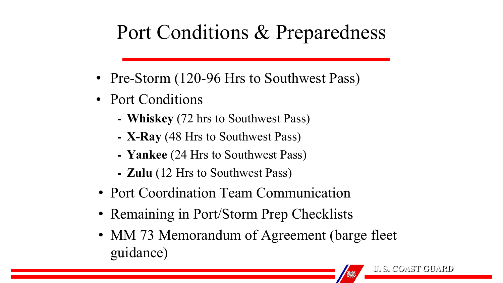# Port Conditions & Preparedness

- Pre-Storm (120-96 Hrs to Southwest Pass)
- Port Conditions
	- ⁃ **Whiskey** (72 hrs to Southwest Pass)
	- ⁃ **X-Ray** (48 Hrs to Southwest Pass)
	- ⁃ **Yankee** (24 Hrs to Southwest Pass)
	- ⁃ **Zulu** (12 Hrs to Southwest Pass)
- Port Coordination Team Communication
- Remaining in Port/Storm Prep Checklists
- MM 73 Memorandum of Agreement (barge fleet) guidance)

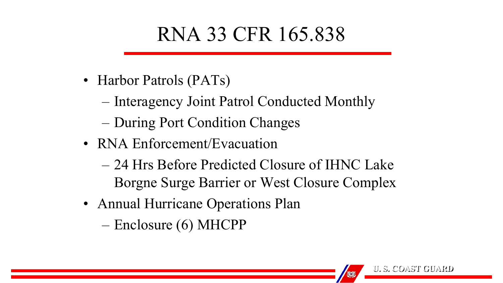# RNA 33 CFR 165.838

- Harbor Patrols (PATs)
	- Interagency Joint Patrol Conducted Monthly
	- During Port Condition Changes
- RNA Enforcement/Evacuation
	- 24 Hrs Before Predicted Closure of IHNC Lake Borgne Surge Barrier or West Closure Complex
- Annual Hurricane Operations Plan
	- Enclosure (6) MHCPP

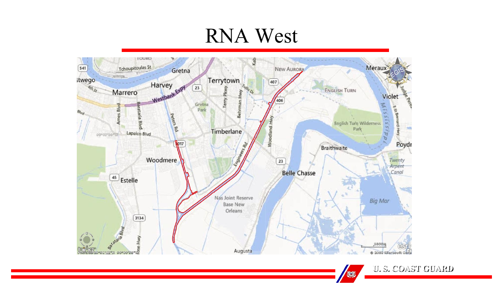## RNA West



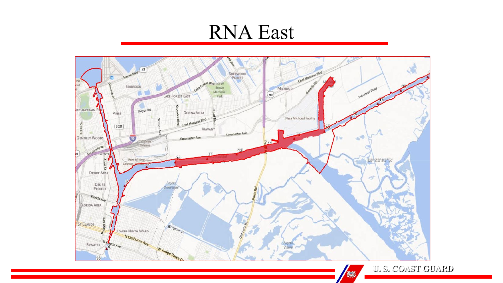#### RNA East



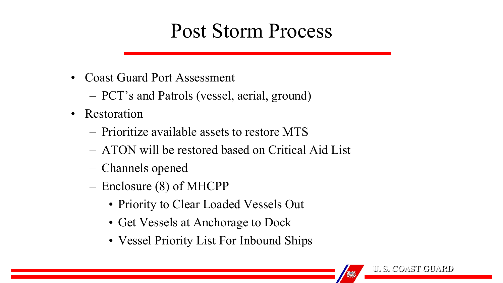#### Post Storm Process

- Coast Guard Port Assessment
	- PCT's and Patrols (vessel, aerial, ground)
- Restoration
	- Prioritize available assets to restore MTS
	- ATON will be restored based on Critical Aid List
	- Channels opened
	- Enclosure (8) of MHCPP
		- Priority to Clear Loaded Vessels Out
		- Get Vessels at Anchorage to Dock
		- Vessel Priority List For Inbound Ships

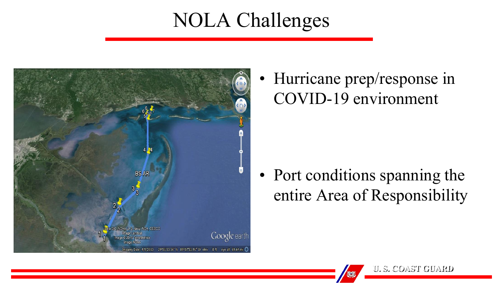### NOLA Challenges



• Hurricane prep/response in COVID-19 environment

• Port conditions spanning the entire Area of Responsibility